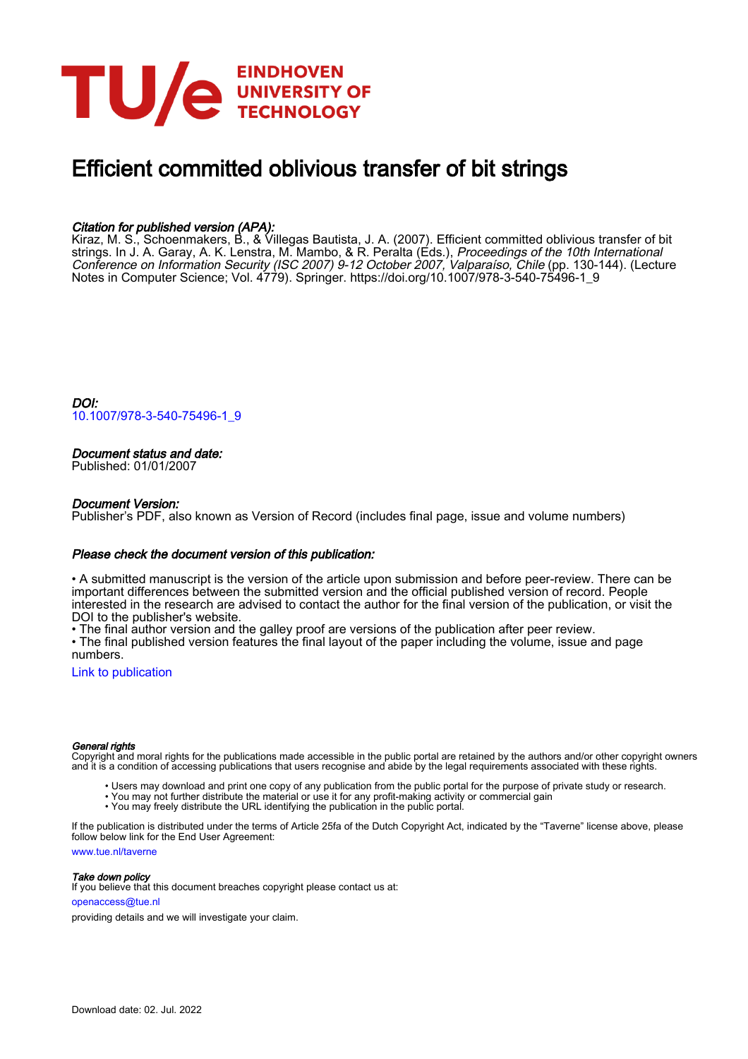

# Efficient committed oblivious transfer of bit strings

### Citation for published version (APA):

Kiraz, M. S., Schoenmakers, B., & Villegas Bautista, J. A. (2007). Efficient committed oblivious transfer of bit strings. In J. A. Garay, A. K. Lenstra, M. Mambo, & R. Peralta (Eds.), *Proceedings of the 10th International* Conference on Information Security (ISC 2007) 9-12 October 2007, Valparaíso, Chile (pp. 130-144). (Lecture Notes in Computer Science; Vol. 4779). Springer. [https://doi.org/10.1007/978-3-540-75496-1\\_9](https://doi.org/10.1007/978-3-540-75496-1_9)

DOI: [10.1007/978-3-540-75496-1\\_9](https://doi.org/10.1007/978-3-540-75496-1_9)

#### Document status and date:

Published: 01/01/2007

#### Document Version:

Publisher's PDF, also known as Version of Record (includes final page, issue and volume numbers)

#### Please check the document version of this publication:

• A submitted manuscript is the version of the article upon submission and before peer-review. There can be important differences between the submitted version and the official published version of record. People interested in the research are advised to contact the author for the final version of the publication, or visit the DOI to the publisher's website.

• The final author version and the galley proof are versions of the publication after peer review.

• The final published version features the final layout of the paper including the volume, issue and page numbers.

[Link to publication](https://research.tue.nl/en/publications/f4af79b3-9dc3-4910-aac5-21a655c2ae03)

#### General rights

Copyright and moral rights for the publications made accessible in the public portal are retained by the authors and/or other copyright owners and it is a condition of accessing publications that users recognise and abide by the legal requirements associated with these rights.

- Users may download and print one copy of any publication from the public portal for the purpose of private study or research.
- You may not further distribute the material or use it for any profit-making activity or commercial gain
- You may freely distribute the URL identifying the publication in the public portal.

If the publication is distributed under the terms of Article 25fa of the Dutch Copyright Act, indicated by the "Taverne" license above, please follow below link for the End User Agreement:

www.tue.nl/taverne

**Take down policy**<br>If you believe that this document breaches copyright please contact us at:

openaccess@tue.nl

providing details and we will investigate your claim.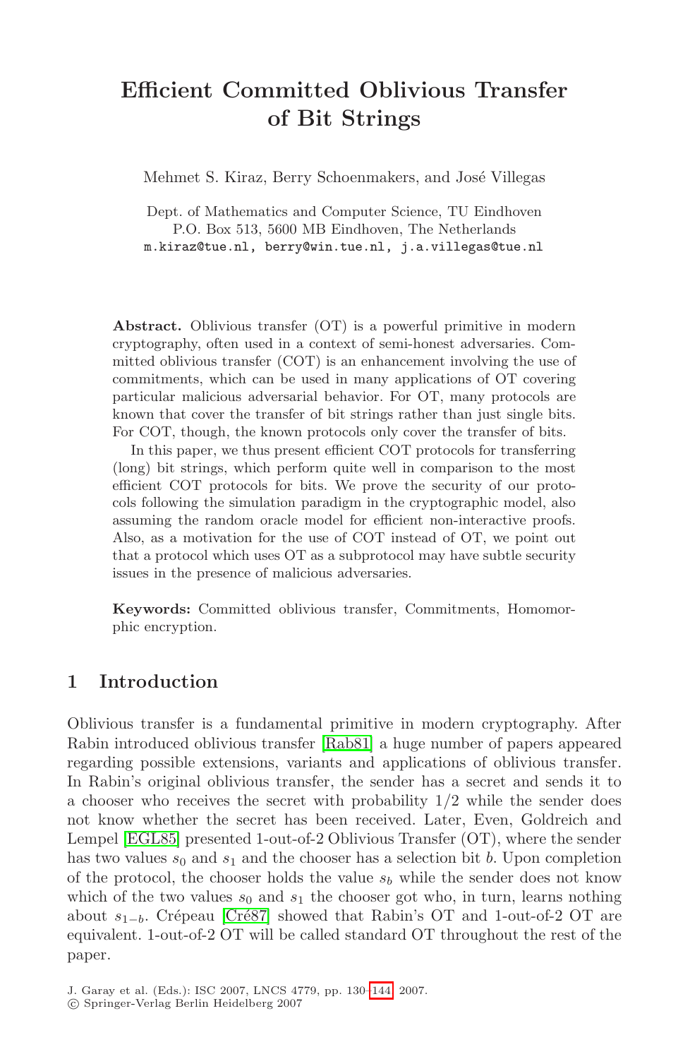## **Efficient Committed Oblivious Transfer of Bit Strings**

Mehmet S. Kiraz, Berry Schoenmakers, and José Villegas

Dept. of Mathematics and Computer Science, TU Eindhoven P.O. Box 513, 5600 MB Eindhoven, The Netherlands m.kiraz@tue.nl, berry@win.tue.nl, j.a.villegas@tue.nl

**Abstract.** Oblivious transfer (OT) is a powerful primitive in modern cryptography, often used in a context of semi-honest adversaries. Committed oblivious transfer (COT) is an enhancement involving the use of commitments, which can be used in many applications of OT covering particular malicious adversarial behavior. For OT, many protocols are known that cover the transfer of bit strings rather than just single bits. For COT, though, the known protocols only cover the transfer of bits.

In this paper, we thus present efficient COT protocols for transferring (long) bit strings, which perform quite well in comparison to the most efficient COT protocols for bits. We prove the security of our protocols following the simulation paradigm in the cryptographic model, also assuming the random oracle model for efficient non-interactive proofs. Also, as a motivation for the use of COT instead of OT, we point out that a protocol which uses OT as a subprotocol may have subtle security issues in the presence of malicious adversaries.

**Keywords:** Committed oblivious transfer, Commitments, Homomorphic encryption.

#### **1 Introduction**

Oblivious transfer is a fundamental primitive in modern cryptography. After Rabin introduced oblivious transfer [\[Rab81\]](#page-15-0) a huge number of papers appeared regarding possible extensions, variants and applications of oblivious transfer. In Rabin's original oblivious transfer, the sender has a secret and sends it to a chooser who receives the secret with probability  $1/2$  while the sender does not know whether the secret has been received. Later, Even, Goldreich and Lempel [\[EGL85\]](#page-15-1) presented 1-out-of-2 Oblivious Transfer (OT), where the sender has two values  $s_0$  and  $s_1$  and the chooser has a selection bit b. Upon completion of the protocol, the chooser holds the value  $s<sub>b</sub>$  while the sender does not know which of the two values  $s_0$  and  $s_1$  the chooser got who, in turn, learns nothing about  $s_{1-b}$ . Crépeau [Cré87] showed that Rabin's OT and 1-out-of-2 OT are equivalent. 1-out-of-2 OT will be called standard OT throughout the rest of the paper.

J. Garay et al. (Eds.): ISC 2007, LNCS 4779, pp. 130[–144,](#page-15-2) 2007.

<sup>-</sup>c Springer-Verlag Berlin Heidelberg 2007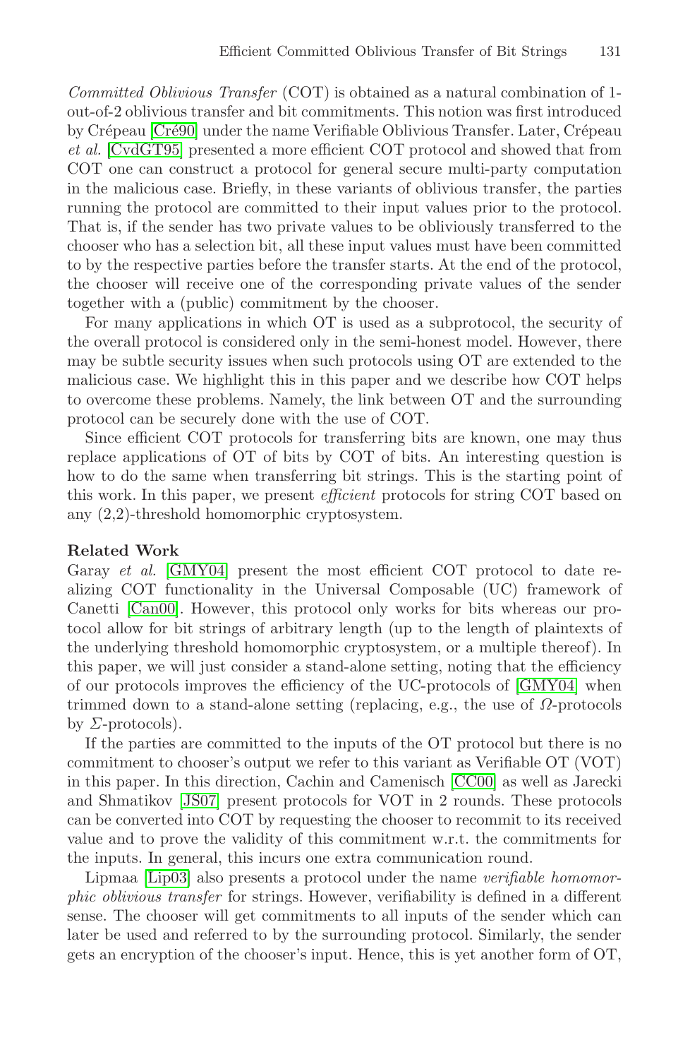Committed Oblivious Transfer (COT) is obtained as a natural combination of 1 out-of-2 oblivious transfer and bit commitments. This notion was first introduced by Crépeau [Cré90] under the name Verifiable Oblivious Transfer. Later, Crépeau et al. [\[CvdGT95\]](#page-14-2) presented a more efficient COT protocol and showed that from COT one can construct a protocol for general secure multi-party computation in the malicious case. Briefly, in these variants of oblivious transfer, the parties running the protocol are committed to their input values prior to the protocol. That is, if the sender has two private values to be obliviously transferred to the chooser who has a selection bit, all these input values must have been committed to by the respective parties before the transfer starts. At the end of the protocol, the chooser will receive one of the corresponding private values of the sender together with a (public) commitment by the chooser.

For many applications in which OT is used as a subprotocol, the security of the overall protocol is considered only in the semi-honest model. However, there may be subtle security issues when such protocols using OT are extended to the malicious case. We highlight this in this paper and we describe how COT helps to overcome these problems. Namely, the link between OT and the surrounding protocol can be securely done with the use of COT.

Since efficient COT protocols for transferring bits are known, one may thus replace applications of OT of bits by COT of bits. An interesting question is how to do the same when transferring bit strings. This is the starting point of this work. In this paper, we present *efficient* protocols for string COT based on any (2,2)-threshold homomorphic cryptosystem.

#### **Related Work**

Garay et al. [\[GMY04\]](#page-15-3) present the most efficient COT protocol to date realizing COT functionality in the Universal Composable (UC) framework of Canetti [\[Can00\]](#page-14-3). However, this protocol only works for bits whereas our protocol allow for bit strings of arbitrary length (up to the length of plaintexts of the underlying threshold homomorphic cryptosystem, or a multiple thereof). In this paper, we will just consider a stand-alone setting, noting that the efficiency of our protocols improves the efficiency of the UC-protocols of [\[GMY04\]](#page-15-3) when trimmed down to a stand-alone setting (replacing, e.g., the use of  $\Omega$ -protocols by  $\Sigma$ -protocols).

If the parties are committed to the inputs of the OT protocol but there is no commitment to chooser's output we refer to this variant as Verifiable OT (VOT) in this paper. In this direction, Cachin and Camenisch [\[CC00\]](#page-14-4) as well as Jarecki and Shmatikov [\[JS07\]](#page-15-4) present protocols for VOT in 2 rounds. These protocols can be converted into COT by requesting the chooser to recommit to its received value and to prove the validity of this commitment w.r.t. the commitments for the inputs. In general, this incurs one extra communication round.

Lipmaa [\[Lip03\]](#page-15-5) also presents a protocol under the name *verifiable homomor*phic oblivious transfer for strings. However, verifiability is defined in a different sense. The chooser will get commitments to all inputs of the sender which can later be used and referred to by the surrounding protocol. Similarly, the sender gets an encryption of the chooser's input. Hence, this is yet another form of OT,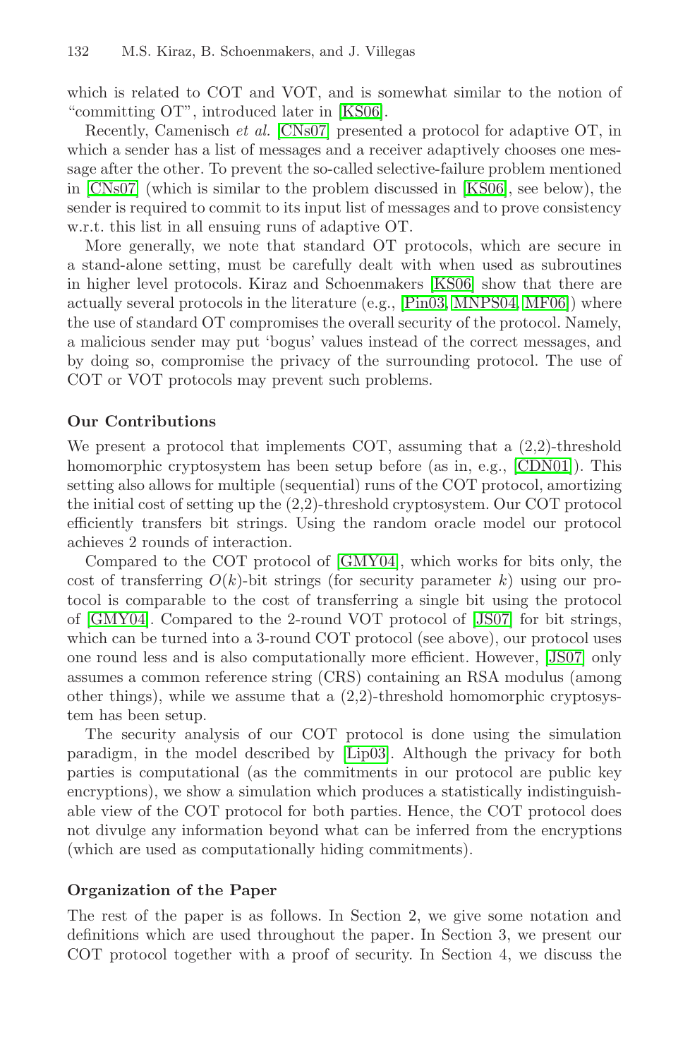which is related to COT and VOT, and is somewhat similar to the notion of "committing OT", introduced later in [\[KS06\]](#page-15-6).

Recently, Camenisch et al. [\[CNs07\]](#page-14-5) presented a protocol for adaptive OT, in which a sender has a list of messages and a receiver adaptively chooses one message after the other. To prevent the so-called selective-failure problem mentioned in [\[CNs07\]](#page-14-5) (which is similar to the problem discussed in [\[KS06\]](#page-15-6), see below), the sender is required to commit to its input list of messages and to prove consistency w.r.t. this list in all ensuing runs of adaptive OT.

More generally, we note that standard OT protocols, which are secure in a stand-alone setting, must be carefully dealt with when used as subroutines in higher level protocols. Kiraz and Schoenmakers [\[KS06\]](#page-15-6) show that there are actually several protocols in the literature (e.g., [\[Pin03,](#page-15-7) [MNPS04,](#page-15-8) [MF06\]](#page-15-9)) where the use of standard OT compromises the overall security of the protocol. Namely, a malicious sender may put 'bogus' values instead of the correct messages, and by doing so, compromise the privacy of the surrounding protocol. The use of COT or VOT protocols may prevent such problems.

#### **Our Contributions**

We present a protocol that implements COT, assuming that a  $(2,2)$ -threshold homomorphic cryptosystem has been setup before (as in, e.g., [\[CDN01\]](#page-14-6)). This setting also allows for multiple (sequential) runs of the COT protocol, amortizing the initial cost of setting up the (2,2)-threshold cryptosystem. Our COT protocol efficiently transfers bit strings. Using the random oracle model our protocol achieves 2 rounds of interaction.

Compared to the COT protocol of [\[GMY04\]](#page-15-3), which works for bits only, the cost of transferring  $O(k)$ -bit strings (for security parameter k) using our protocol is comparable to the cost of transferring a single bit using the protocol of [\[GMY04\]](#page-15-3). Compared to the 2-round VOT protocol of [\[JS07\]](#page-15-4) for bit strings, which can be turned into a 3-round COT protocol (see above), our protocol uses one round less and is also computationally more efficient. However, [\[JS07\]](#page-15-4) only assumes a common reference string (CRS) containing an RSA modulus (among other things), while we assume that a  $(2,2)$ -threshold homomorphic cryptosystem has been setup.

The security analysis of our COT protocol is done using the simulation paradigm, in the model described by [\[Lip03\]](#page-15-5). Although the privacy for both parties is computational (as the commitments in our protocol are public key encryptions), we show a simulation which produces a statistically indistinguishable view of the COT protocol for both parties. Hence, the COT protocol does not divulge any information beyond what can be inferred from the encryptions (which are used as computationally hiding commitments).

#### **Organization of the Paper**

The rest of the paper is as follows. In Section 2, we give some notation and definitions which are used throughout the paper. In Section 3, we present our COT protocol together with a proof of security. In Section 4, we discuss the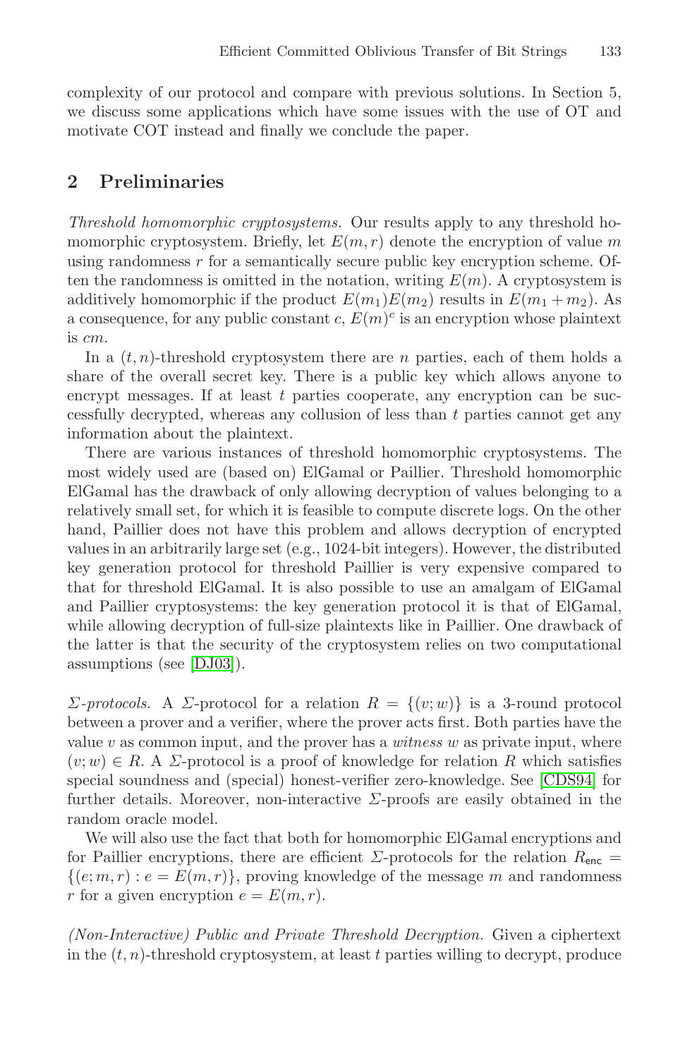complexity of our protocol and compare with previous solutions. In Section 5, we discuss some applications which have some issues with the use of OT and motivate COT instead and finally we conclude the paper.

### **2 Preliminaries**

Threshold homomorphic cryptosystems. Our results apply to any threshold homomorphic cryptosystem. Briefly, let  $E(m, r)$  denote the encryption of value m using randomness  $r$  for a semantically secure public key encryption scheme. Often the randomness is omitted in the notation, writing  $E(m)$ . A cryptosystem is additively homomorphic if the product  $E(m_1)E(m_2)$  results in  $E(m_1 + m_2)$ . As a consequence, for any public constant c,  $E(m)^c$  is an encryption whose plaintext is cm.

In a  $(t, n)$ -threshold cryptosystem there are n parties, each of them holds a share of the overall secret key. There is a public key which allows anyone to encrypt messages. If at least  $t$  parties cooperate, any encryption can be successfully decrypted, whereas any collusion of less than  $t$  parties cannot get any information about the plaintext.

There are various instances of threshold homomorphic cryptosystems. The most widely used are (based on) ElGamal or Paillier. Threshold homomorphic ElGamal has the drawback of only allowing decryption of values belonging to a relatively small set, for which it is feasible to compute discrete logs. On the other hand, Paillier does not have this problem and allows decryption of encrypted values in an arbitrarily large set (e.g., 1024-bit integers). However, the distributed key generation protocol for threshold Paillier is very expensive compared to that for threshold ElGamal. It is also possible to use an amalgam of ElGamal and Paillier cryptosystems: the key generation protocol it is that of ElGamal, while allowing decryption of full-size plaintexts like in Paillier. One drawback of the latter is that the security of the cryptosystem relies on two computational assumptions (see [\[DJ03\]](#page-14-7)).

Σ-protocols. A Σ-protocol for a relation  $R = \{(v; w)\}\$ is a 3-round protocol between a prover and a verifier, where the prover acts first. Both parties have the value  $v$  as common input, and the prover has a *witness*  $w$  as private input, where  $(v; w) \in R$ . A  $\Sigma$ -protocol is a proof of knowledge for relation R which satisfies special soundness and (special) honest-verifier zero-knowledge. See [\[CDS94\]](#page-14-8) for further details. Moreover, non-interactive  $\Sigma$ -proofs are easily obtained in the random oracle model.

We will also use the fact that both for homomorphic ElGamal encryptions and for Paillier encryptions, there are efficient  $\Sigma$ -protocols for the relation  $R_{\text{enc}} =$  $\{(e; m, r) : e = E(m, r)\}\$ , proving knowledge of the message m and randomness r for a given encryption  $e = E(m, r)$ .

(Non-Interactive) Public and Private Threshold Decryption. Given a ciphertext in the  $(t, n)$ -threshold cryptosystem, at least t parties willing to decrypt, produce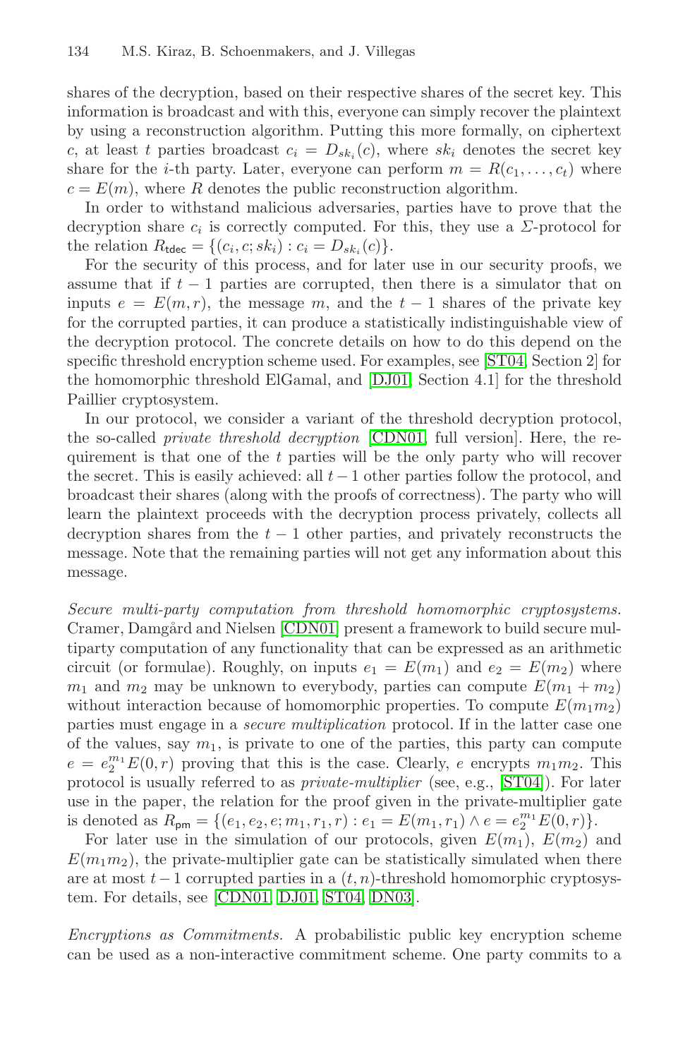shares of the decryption, based on their respective shares of the secret key. This information is broadcast and with this, everyone can simply recover the plaintext by using a reconstruction algorithm. Putting this more formally, on ciphertext c, at least t parties broadcast  $c_i = D_{sk_i}(c)$ , where  $sk_i$  denotes the secret key share for the *i*-th party. Later, everyone can perform  $m = R(c_1, \ldots, c_t)$  where  $c = E(m)$ , where R denotes the public reconstruction algorithm.

In order to withstand malicious adversaries, parties have to prove that the decryption share  $c_i$  is correctly computed. For this, they use a  $\Sigma$ -protocol for the relation  $R_{\text{tdec}} = \{(c_i, c; sk_i) : c_i = D_{sk_i}(c)\}.$ 

For the security of this process, and for later use in our security proofs, we assume that if  $t - 1$  parties are corrupted, then there is a simulator that on inputs  $e = E(m, r)$ , the message m, and the  $t - 1$  shares of the private key for the corrupted parties, it can produce a statistically indistinguishable view of the decryption protocol. The concrete details on how to do this depend on the specific threshold encryption scheme used. For examples, see [\[ST04,](#page-15-10) Section 2] for the homomorphic threshold ElGamal, and [\[DJ01,](#page-14-9) Section 4.1] for the threshold Paillier cryptosystem.

In our protocol, we consider a variant of the threshold decryption protocol, the so-called private threshold decryption [\[CDN01,](#page-14-6) full version]. Here, the requirement is that one of the t parties will be the only party who will recover the secret. This is easily achieved: all  $t-1$  other parties follow the protocol, and broadcast their shares (along with the proofs of correctness). The party who will learn the plaintext proceeds with the decryption process privately, collects all decryption shares from the  $t - 1$  other parties, and privately reconstructs the message. Note that the remaining parties will not get any information about this message.

Secure multi-party computation from threshold homomorphic cryptosystems. Cramer, Damgård and Nielsen [\[CDN01\]](#page-14-6) present a framework to build secure multiparty computation of any functionality that can be expressed as an arithmetic circuit (or formulae). Roughly, on inputs  $e_1 = E(m_1)$  and  $e_2 = E(m_2)$  where  $m_1$  and  $m_2$  may be unknown to everybody, parties can compute  $E(m_1 + m_2)$ without interaction because of homomorphic properties. To compute  $E(m_1m_2)$ parties must engage in a secure multiplication protocol. If in the latter case one of the values, say  $m_1$ , is private to one of the parties, this party can compute  $e = e_2^{m_1} E(0,r)$  proving that this is the case. Clearly, e encrypts  $m_1 m_2$ . This protocol is usually referred to as private-multiplier (see, e.g., [\[ST04\]](#page-15-10)). For later use in the paper, the relation for the proof given in the private-multiplier gate is denoted as  $R_{\text{pm}} = \{(e_1, e_2, e; m_1, r_1, r) : e_1 = E(m_1, r_1) \wedge e = e_2^{m_1} E(0, r)\}.$ 

For later use in the simulation of our protocols, given  $E(m_1)$ ,  $E(m_2)$  and  $E(m_1m_2)$ , the private-multiplier gate can be statistically simulated when there are at most  $t-1$  corrupted parties in a  $(t, n)$ -threshold homomorphic cryptosystem. For details, see [\[CDN01,](#page-14-6) [DJ01,](#page-14-9) [ST04,](#page-15-10) [DN03\]](#page-15-11).

Encryptions as Commitments. A probabilistic public key encryption scheme can be used as a non-interactive commitment scheme. One party commits to a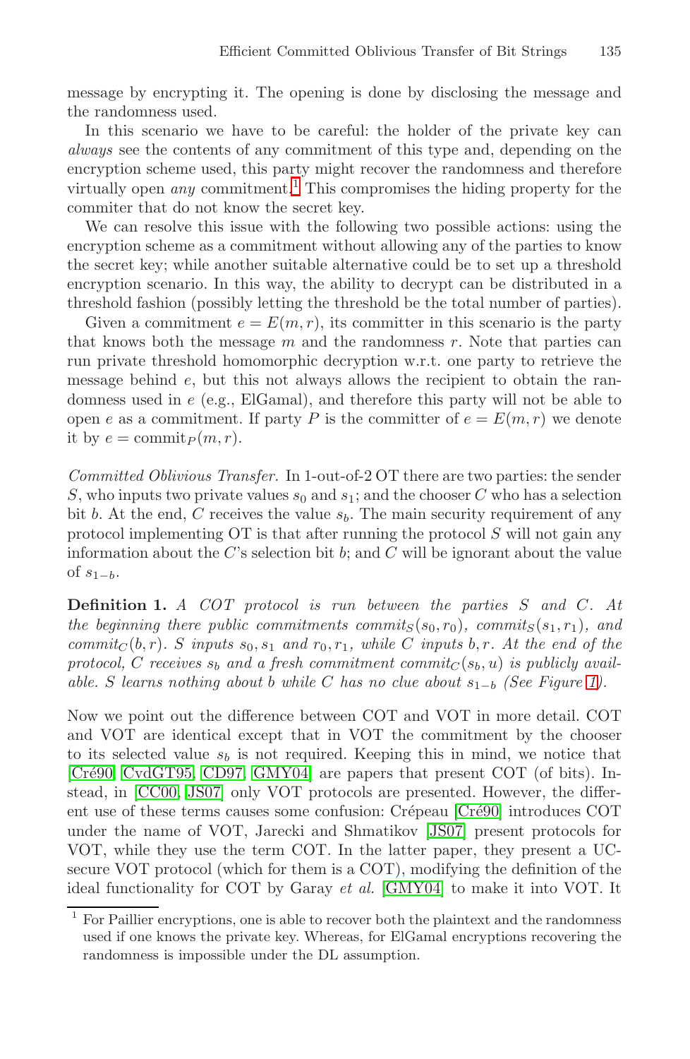message by encrypting it. The opening is done by disclosing the message and the randomness used.

In this scenario we have to be careful: the holder of the private key can always see the contents of any commitment of this type and, depending on the encryption scheme used, this party might recover the randomness and therefore virtually open *any* commitment.<sup>[1](#page-6-0)</sup> This compromises the hiding property for the commiter that do not know the secret key.

We can resolve this issue with the following two possible actions: using the encryption scheme as a commitment without allowing any of the parties to know the secret key; while another suitable alternative could be to set up a threshold encryption scenario. In this way, the ability to decrypt can be distributed in a threshold fashion (possibly letting the threshold be the total number of parties).

Given a commitment  $e = E(m, r)$ , its committer in this scenario is the party that knows both the message  $m$  and the randomness  $r$ . Note that parties can run private threshold homomorphic decryption w.r.t. one party to retrieve the message behind e, but this not always allows the recipient to obtain the randomness used in e (e.g., ElGamal), and therefore this party will not be able to open e as a commitment. If party P is the committer of  $e = E(m, r)$  we denote it by  $e = \text{commit}_P(m, r)$ .

Committed Oblivious Transfer. In 1-out-of-2 OT there are two parties: the sender S, who inputs two private values  $s_0$  and  $s_1$ ; and the chooser C who has a selection bit b. At the end, C receives the value  $s<sub>b</sub>$ . The main security requirement of any protocol implementing  $\overline{OT}$  is that after running the protocol  $S$  will not gain any information about the C's selection bit b; and C will be ignorant about the value of  $s_{1-b}$ .

**Definition 1.** A COT protocol is run between the parties S and C. At the beginning there public commitments commits  $(s_0, r_0)$ , commits  $(s_1, r_1)$ , and commit<sub>C</sub> $(b, r)$ . S inputs  $s_0, s_1$  and  $r_0, r_1$ , while C inputs b, r. At the end of the protocol, C receives  $s_b$  and a fresh commitment commit<sub>C</sub>( $s_b$ , u) is publicly available. S learns nothing about b while C has no clue about  $s_{1-b}$  (See Figure [1\)](#page-7-0).

Now we point out the difference between COT and VOT in more detail. COT and VOT are identical except that in VOT the commitment by the chooser to its selected value  $s_b$  is not required. Keeping this in mind, we notice that [Cré90, [CvdGT95,](#page-14-2) [CD97,](#page-14-10) [GMY04\]](#page-15-3) are papers that present COT (of bits). Instead, in [\[CC00,](#page-14-4) [JS07\]](#page-15-4) only VOT protocols are presented. However, the different use of these terms causes some confusion: Crépeau [Cré90] introduces COT under the name of VOT, Jarecki and Shmatikov [\[JS07\]](#page-15-4) present protocols for VOT, while they use the term COT. In the latter paper, they present a UCsecure VOT protocol (which for them is a COT), modifying the definition of the ideal functionality for COT by Garay et al. [\[GMY04\]](#page-15-3) to make it into VOT. It

<span id="page-6-0"></span> $1$  For Paillier encryptions, one is able to recover both the plaintext and the randomness used if one knows the private key. Whereas, for ElGamal encryptions recovering the randomness is impossible under the DL assumption.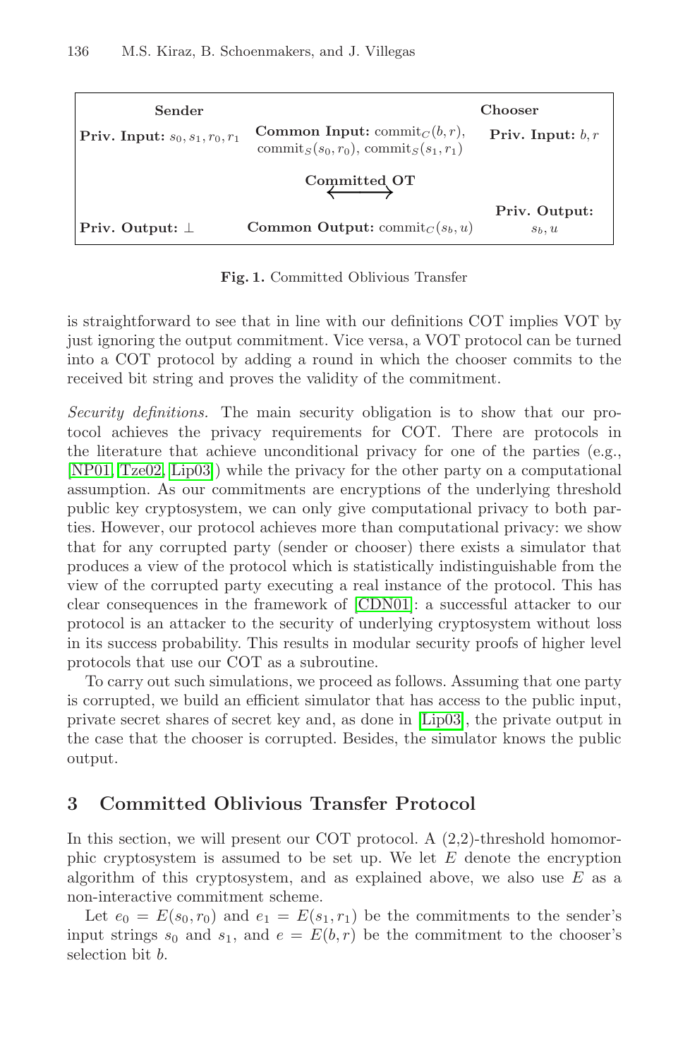| Sender                                   | Chooser                                                                                                                                 |                           |  |  |
|------------------------------------------|-----------------------------------------------------------------------------------------------------------------------------------------|---------------------------|--|--|
| <b>Priv.</b> Input: $s_0, s_1, r_0, r_1$ | <b>Common Input:</b> commit <sub><math>C</math></sub> $(b, r)$ ,<br>commit <sub>s</sub> $(s_0, r_0)$ , commit <sub>s</sub> $(s_1, r_1)$ | Priv. Input: $b, r$       |  |  |
| Committed OT                             |                                                                                                                                         |                           |  |  |
| Priv. Output: $\perp$                    | <b>Common Output:</b> commit <sub><math>C(s_b, u)</math></sub>                                                                          | Priv. Output:<br>$s_b, u$ |  |  |

<span id="page-7-0"></span>**Fig. 1.** Committed Oblivious Transfer

is straightforward to see that in line with our definitions COT implies VOT by just ignoring the output commitment. Vice versa, a VOT protocol can be turned into a COT protocol by adding a round in which the chooser commits to the received bit string and proves the validity of the commitment.

Security definitions. The main security obligation is to show that our protocol achieves the privacy requirements for COT. There are protocols in the literature that achieve unconditional privacy for one of the parties (e.g., [\[NP01,](#page-15-12) [Tze02,](#page-15-13) [Lip03\]](#page-15-5)) while the privacy for the other party on a computational assumption. As our commitments are encryptions of the underlying threshold public key cryptosystem, we can only give computational privacy to both parties. However, our protocol achieves more than computational privacy: we show that for any corrupted party (sender or chooser) there exists a simulator that produces a view of the protocol which is statistically indistinguishable from the view of the corrupted party executing a real instance of the protocol. This has clear consequences in the framework of [\[CDN01\]](#page-14-6): a successful attacker to our protocol is an attacker to the security of underlying cryptosystem without loss in its success probability. This results in modular security proofs of higher level protocols that use our COT as a subroutine.

To carry out such simulations, we proceed as follows. Assuming that one party is corrupted, we build an efficient simulator that has access to the public input, private secret shares of secret key and, as done in [\[Lip03\]](#page-15-5), the private output in the case that the chooser is corrupted. Besides, the simulator knows the public output.

#### **3 Committed Oblivious Transfer Protocol**

In this section, we will present our COT protocol. A  $(2,2)$ -threshold homomorphic cryptosystem is assumed to be set up. We let  $E$  denote the encryption algorithm of this cryptosystem, and as explained above, we also use  $E$  as a non-interactive commitment scheme.

Let  $e_0 = E(s_0, r_0)$  and  $e_1 = E(s_1, r_1)$  be the commitments to the sender's input strings  $s_0$  and  $s_1$ , and  $e = E(b,r)$  be the commitment to the chooser's selection bit *b*.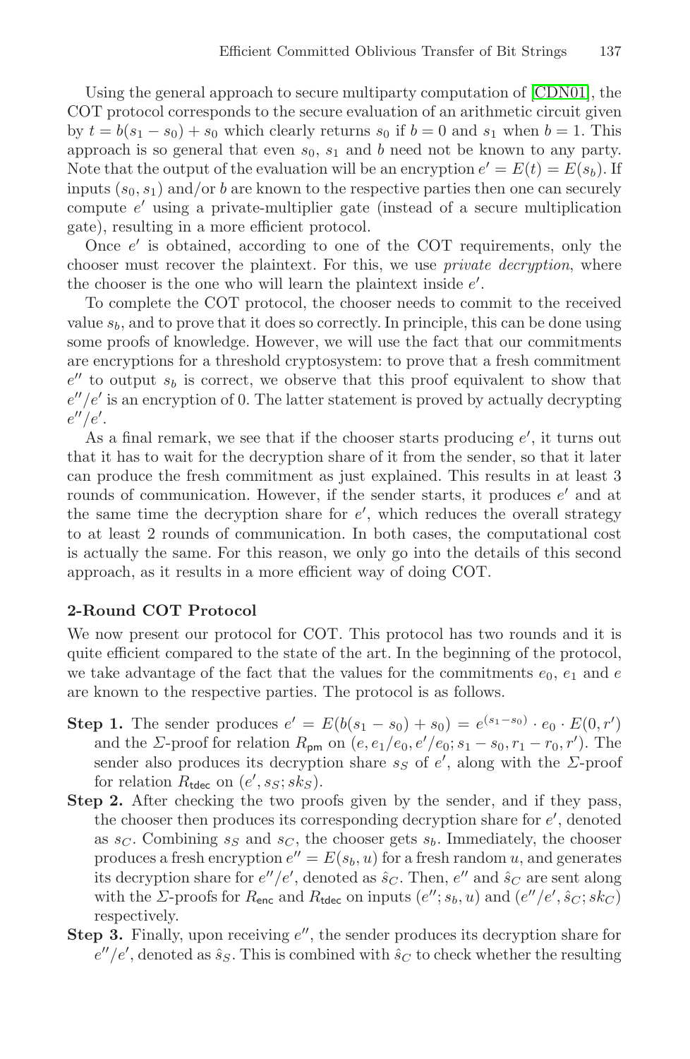Using the general approach to secure multiparty computation of [\[CDN01\]](#page-14-6), the COT protocol corresponds to the secure evaluation of an arithmetic circuit given by  $t = b(s_1 - s_0) + s_0$  which clearly returns  $s_0$  if  $b = 0$  and  $s_1$  when  $b = 1$ . This approach is so general that even  $s_0$ ,  $s_1$  and b need not be known to any party. Note that the output of the evaluation will be an encryption  $e' = E(t) = E(s_b)$ . If inputs  $(s_0, s_1)$  and/or b are known to the respective parties then one can securely compute  $e'$  using a private-multiplier gate (instead of a secure multiplication gate), resulting in a more efficient protocol.

Once  $e'$  is obtained, according to one of the COT requirements, only the chooser must recover the plaintext. For this, we use private decryption, where the chooser is the one who will learn the plaintext inside  $e'$ .

To complete the COT protocol, the chooser needs to commit to the received value  $s<sub>b</sub>$ , and to prove that it does so correctly. In principle, this can be done using some proofs of knowledge. However, we will use the fact that our commitments are encryptions for a threshold cryptosystem: to prove that a fresh commitment  $e''$  to output  $s_b$  is correct, we observe that this proof equivalent to show that  $e''/e'$  is an encryption of 0. The latter statement is proved by actually decrypting  $e^{\prime\prime}/e^{\prime}.$ 

As a final remark, we see that if the chooser starts producing  $e'$ , it turns out that it has to wait for the decryption share of it from the sender, so that it later can produce the fresh commitment as just explained. This results in at least 3 rounds of communication. However, if the sender starts, it produces  $e'$  and at the same time the decryption share for  $e'$ , which reduces the overall strategy to at least 2 rounds of communication. In both cases, the computational cost is actually the same. For this reason, we only go into the details of this second approach, as it results in a more efficient way of doing COT.

#### **2-Round COT Protocol**

We now present our protocol for COT. This protocol has two rounds and it is quite efficient compared to the state of the art. In the beginning of the protocol, we take advantage of the fact that the values for the commitments  $e_0, e_1$  and  $e$ are known to the respective parties. The protocol is as follows.

- **Step 1.** The sender produces  $e' = E(b(s_1 s_0) + s_0) = e^{(s_1 s_0)} \cdot e_0 \cdot E(0, r')$ and the *Σ*-proof for relation  $R_{\text{pm}}$  on  $(e, e_1/e_0, e'/e_0; s_1 - s_0, r_1 - r_0, r')$ . The sender also produces its decryption share  $s_S$  of  $e'$ , along with the  $\Sigma$ -proof for relation  $R_{\text{tdec}}$  on  $(e', s_S; sk_S)$ .
- **Step 2.** After checking the two proofs given by the sender, and if they pass, the chooser then produces its corresponding decryption share for  $e'$ , denoted as  $s_C$ . Combining  $s_S$  and  $s_C$ , the chooser gets  $s_b$ . Immediately, the chooser produces a fresh encryption  $e'' = E(s_b, u)$  for a fresh random u, and generates its decryption share for  $e''/e'$ , denoted as  $\hat{s}_C$ . Then,  $e''$  and  $\hat{s}_C$  are sent along with the *Σ*-proofs for  $R_{\text{enc}}$  and  $R_{\text{tdec}}$  on inputs  $(e''; s_b, u)$  and  $(e''/e', \hat{s}_C; sk_C)$ respectively.
- **Step 3.** Finally, upon receiving  $e''$ , the sender produces its decryption share for  $e''/e'$ , denoted as  $\hat{s}_S$ . This is combined with  $\hat{s}_C$  to check whether the resulting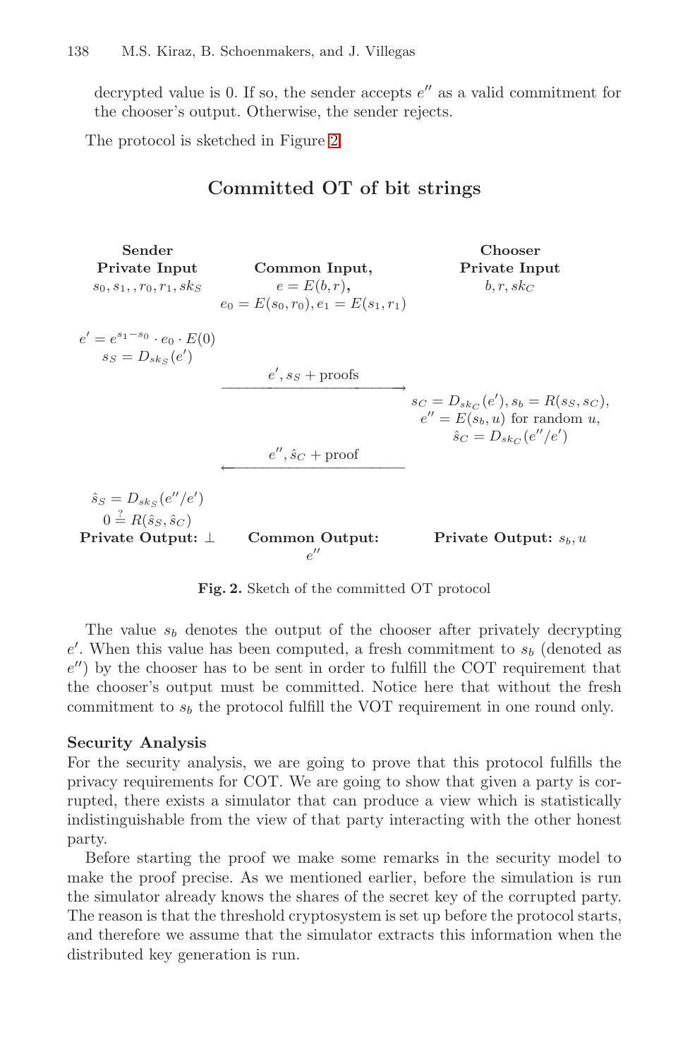decrypted value is 0. If so, the sender accepts  $e^{\prime\prime}$  as a valid commitment for the chooser's output. Otherwise, the sender rejects.

The protocol is sketched in Figure [2.](#page-9-0)

#### **Committed OT of bit strings**

| Sender<br>Private Input<br>$s_0, s_1, r_0, r_1, sk_S$                  | Common Input,<br>$e=E(b,r),$<br>$e_0 = E(s_0, r_0), e_1 = E(s_1, r_1)$ | Chooser<br>Private Input<br>$b, r, sk_C$                                                                       |
|------------------------------------------------------------------------|------------------------------------------------------------------------|----------------------------------------------------------------------------------------------------------------|
| $e' = e^{s_1 - s_0} \cdot e_0 \cdot E(0)$<br>$s_S = D_{s k s}(e')$     |                                                                        |                                                                                                                |
|                                                                        | $e', s_s + \text{proofs}$                                              |                                                                                                                |
|                                                                        |                                                                        | $s_C = D_{s k_C}(e'), s_b = R(s_S, s_C),$<br>$e'' = E(s_b, u)$ for random u,<br>$\hat{s}_C = D_{sk_C}(e''/e')$ |
|                                                                        | $e'', \hat{s}_C$ + proof                                               |                                                                                                                |
| $\hat{s}_S = D_{s k_S}(e''/e')$                                        |                                                                        |                                                                                                                |
| $0 \stackrel{?}{=} R(\hat{s}_S, \hat{s}_C)$<br>Private Output: $\perp$ | Common Output:<br>$e^{\prime\prime}$                                   | Private Output: $s_b, u$                                                                                       |

<span id="page-9-0"></span>**Fig. 2.** Sketch of the committed OT protocol

The value  $s_b$  denotes the output of the chooser after privately decrypting  $e'$ . When this value has been computed, a fresh commitment to  $s<sub>b</sub>$  (denoted as  $e'$ ) by the chooser has to be sent in order to fulfill the COT requirement that the chooser's output must be committed. Notice here that without the fresh commitment to  $s<sub>b</sub>$  the protocol fulfill the VOT requirement in one round only.

#### **Security Analysis**

For the security analysis, we are going to prove that this protocol fulfills the privacy requirements for COT. We are going to show that given a party is corrupted, there exists a simulator that can produce a view which is statistically indistinguishable from the view of that party interacting with the other honest party.

Before starting the proof we make some remarks in the security model to make the proof precise. As we mentioned earlier, before the simulation is run the simulator already knows the shares of the secret key of the corrupted party. The reason is that the threshold cryptosystem is set up before the protocol starts, and therefore we assume that the simulator extracts this information when the distributed key generation is run.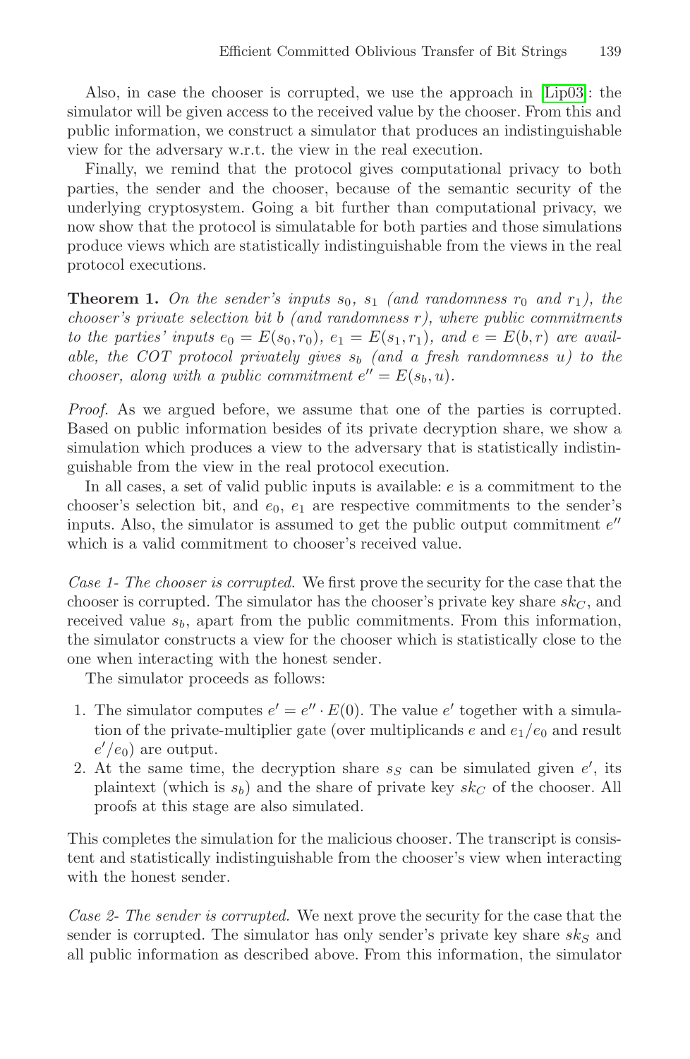Also, in case the chooser is corrupted, we use the approach in [\[Lip03\]](#page-15-5): the simulator will be given access to the received value by the chooser. From this and public information, we construct a simulator that produces an indistinguishable view for the adversary w.r.t. the view in the real execution.

Finally, we remind that the protocol gives computational privacy to both parties, the sender and the chooser, because of the semantic security of the underlying cryptosystem. Going a bit further than computational privacy, we now show that the protocol is simulatable for both parties and those simulations produce views which are statistically indistinguishable from the views in the real protocol executions.

**Theorem 1.** On the sender's inputs  $s_0$ ,  $s_1$  (and randomness  $r_0$  and  $r_1$ ), the chooser's private selection bit b (and randomness r), where public commitments to the parties' inputs  $e_0 = E(s_0, r_0)$ ,  $e_1 = E(s_1, r_1)$ , and  $e = E(b, r)$  are available, the COT protocol privately gives  $s<sub>b</sub>$  (and a fresh randomness u) to the chooser, along with a public commitment  $e'' = E(s_h, u)$ .

Proof. As we argued before, we assume that one of the parties is corrupted. Based on public information besides of its private decryption share, we show a simulation which produces a view to the adversary that is statistically indistinguishable from the view in the real protocol execution.

In all cases, a set of valid public inputs is available:  $e$  is a commitment to the chooser's selection bit, and  $e_0$ ,  $e_1$  are respective commitments to the sender's inputs. Also, the simulator is assumed to get the public output commitment  $e''$ which is a valid commitment to chooser's received value.

Case 1- The chooser is corrupted. We first prove the security for the case that the chooser is corrupted. The simulator has the chooser's private key share  $sk_C$ , and received value  $s_b$ , apart from the public commitments. From this information, the simulator constructs a view for the chooser which is statistically close to the one when interacting with the honest sender.

The simulator proceeds as follows:

- 1. The simulator computes  $e' = e'' \cdot E(0)$ . The value e' together with a simulation of the private-multiplier gate (over multiplicands e and  $e_1/e_0$  and result  $e'/e_0$  are output.
- 2. At the same time, the decryption share  $s_S$  can be simulated given  $e'$ , its plaintext (which is  $s_b$ ) and the share of private key  $sk_C$  of the chooser. All proofs at this stage are also simulated.

This completes the simulation for the malicious chooser. The transcript is consistent and statistically indistinguishable from the chooser's view when interacting with the honest sender.

Case 2- The sender is corrupted. We next prove the security for the case that the sender is corrupted. The simulator has only sender's private key share  $sk<sub>S</sub>$  and all public information as described above. From this information, the simulator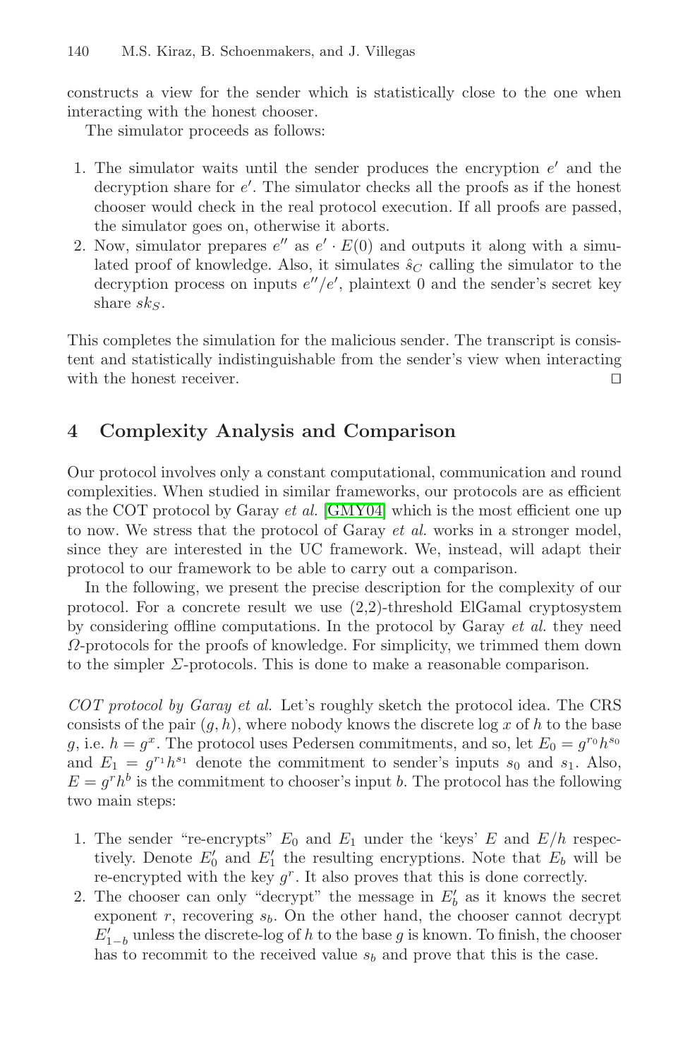constructs a view for the sender which is statistically close to the one when interacting with the honest chooser.

The simulator proceeds as follows:

- 1. The simulator waits until the sender produces the encryption  $e'$  and the decryption share for e . The simulator checks all the proofs as if the honest chooser would check in the real protocol execution. If all proofs are passed, the simulator goes on, otherwise it aborts.
- 2. Now, simulator prepares  $e''$  as  $e' \cdot E(0)$  and outputs it along with a simulated proof of knowledge. Also, it simulates  $\hat{s}_C$  calling the simulator to the decryption process on inputs  $e''/e'$ , plaintext 0 and the sender's secret key share  $sk_S$ .

This completes the simulation for the malicious sender. The transcript is consistent and statistically indistinguishable from the sender's view when interacting with the honest receiver.

#### **4 Complexity Analysis and Comparison**

Our protocol involves only a constant computational, communication and round complexities. When studied in similar frameworks, our protocols are as efficient as the COT protocol by Garay *et al.* [\[GMY04\]](#page-15-3) which is the most efficient one up to now. We stress that the protocol of Garay *et al.* works in a stronger model, since they are interested in the UC framework. We, instead, will adapt their protocol to our framework to be able to carry out a comparison.

In the following, we present the precise description for the complexity of our protocol. For a concrete result we use (2,2)-threshold ElGamal cryptosystem by considering offline computations. In the protocol by Garay et al. they need Ω-protocols for the proofs of knowledge. For simplicity, we trimmed them down to the simpler  $\Sigma$ -protocols. This is done to make a reasonable comparison.

COT protocol by Garay et al. Let's roughly sketch the protocol idea. The CRS consists of the pair  $(g,h)$ , where nobody knows the discrete log x of h to the base g, i.e.  $h = g^x$ . The protocol uses Pedersen commitments, and so, let  $E_0 = g^{r_0} h^{s_0}$ and  $E_1 = g^{r_1} h^{s_1}$  denote the commitment to sender's inputs  $s_0$  and  $s_1$ . Also,  $E = g^r h^b$  is the commitment to chooser's input b. The protocol has the following two main steps:

- 1. The sender "re-encrypts"  $E_0$  and  $E_1$  under the 'keys' E and  $E/h$  respectively. Denote  $E'_0$  and  $E'_1$  the resulting encryptions. Note that  $E_b$  will be re-encrypted with the key  $g<sup>r</sup>$ . It also proves that this is done correctly.
- 2. The chooser can only "decrypt" the message in  $E'_{b}$  as it knows the secret exponent  $r$ , recovering  $s_b$ . On the other hand, the chooser cannot decrypt  $E'_{1-b}$  unless the discrete-log of h to the base g is known. To finish, the chooser has to recommit to the received value  $s_b$  and prove that this is the case.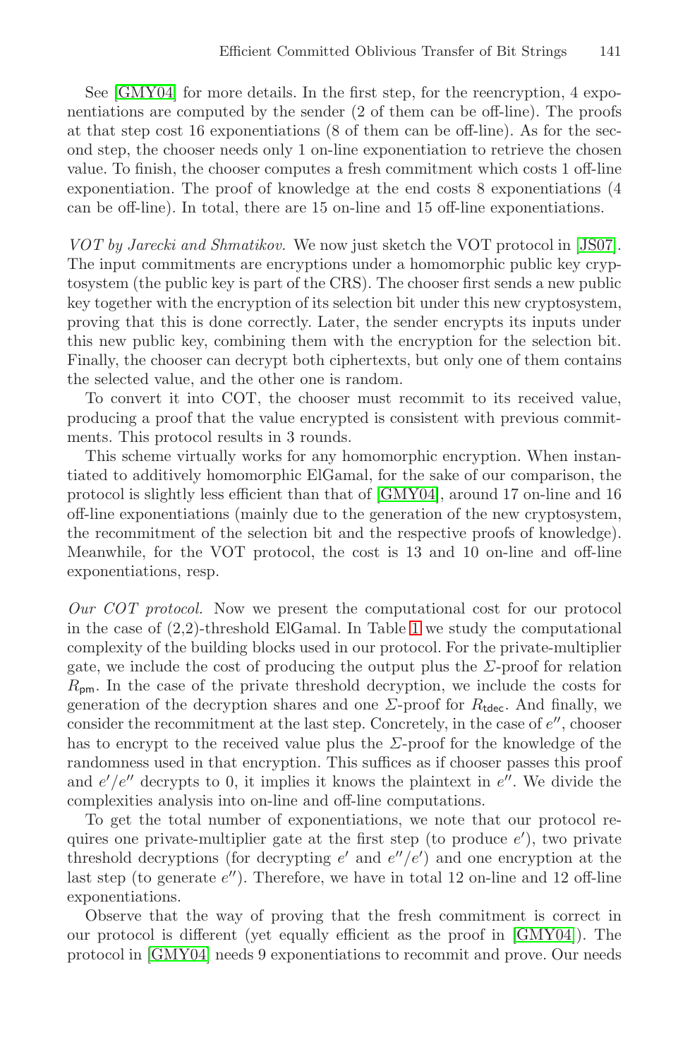See [\[GMY04\]](#page-15-3) for more details. In the first step, for the reencryption, 4 exponentiations are computed by the sender (2 of them can be off-line). The proofs at that step cost 16 exponentiations (8 of them can be off-line). As for the second step, the chooser needs only 1 on-line exponentiation to retrieve the chosen value. To finish, the chooser computes a fresh commitment which costs 1 off-line exponentiation. The proof of knowledge at the end costs 8 exponentiations (4 can be off-line). In total, there are 15 on-line and 15 off-line exponentiations.

VOT by Jarecki and Shmatikov. We now just sketch the VOT protocol in [\[JS07\]](#page-15-4). The input commitments are encryptions under a homomorphic public key cryptosystem (the public key is part of the CRS). The chooser first sends a new public key together with the encryption of its selection bit under this new cryptosystem, proving that this is done correctly. Later, the sender encrypts its inputs under this new public key, combining them with the encryption for the selection bit. Finally, the chooser can decrypt both ciphertexts, but only one of them contains the selected value, and the other one is random.

To convert it into COT, the chooser must recommit to its received value, producing a proof that the value encrypted is consistent with previous commitments. This protocol results in 3 rounds.

This scheme virtually works for any homomorphic encryption. When instantiated to additively homomorphic ElGamal, for the sake of our comparison, the protocol is slightly less efficient than that of [\[GMY04\]](#page-15-3), around 17 on-line and 16 off-line exponentiations (mainly due to the generation of the new cryptosystem, the recommitment of the selection bit and the respective proofs of knowledge). Meanwhile, for the VOT protocol, the cost is 13 and 10 on-line and off-line exponentiations, resp.

Our COT protocol. Now we present the computational cost for our protocol in the case of (2,2)-threshold ElGamal. In Table [1](#page-13-0) we study the computational complexity of the building blocks used in our protocol. For the private-multiplier gate, we include the cost of producing the output plus the  $\Sigma$ -proof for relation  $R_{\text{pm}}$ . In the case of the private threshold decryption, we include the costs for generation of the decryption shares and one  $\Sigma$ -proof for  $R_{\text{tdec}}$ . And finally, we consider the recommitment at the last step. Concretely, in the case of  $e''$ , chooser has to encrypt to the received value plus the  $\Sigma$ -proof for the knowledge of the randomness used in that encryption. This suffices as if chooser passes this proof and  $e'/e''$  decrypts to 0, it implies it knows the plaintext in  $e''$ . We divide the complexities analysis into on-line and off-line computations.

To get the total number of exponentiations, we note that our protocol requires one private-multiplier gate at the first step (to produce  $e'$ ), two private threshold decryptions (for decrypting  $e'$  and  $e''/e'$ ) and one encryption at the last step (to generate  $e'$ ). Therefore, we have in total 12 on-line and 12 off-line exponentiations.

Observe that the way of proving that the fresh commitment is correct in our protocol is different (yet equally efficient as the proof in [\[GMY04\]](#page-15-3)). The protocol in [\[GMY04\]](#page-15-3) needs 9 exponentiations to recommit and prove. Our needs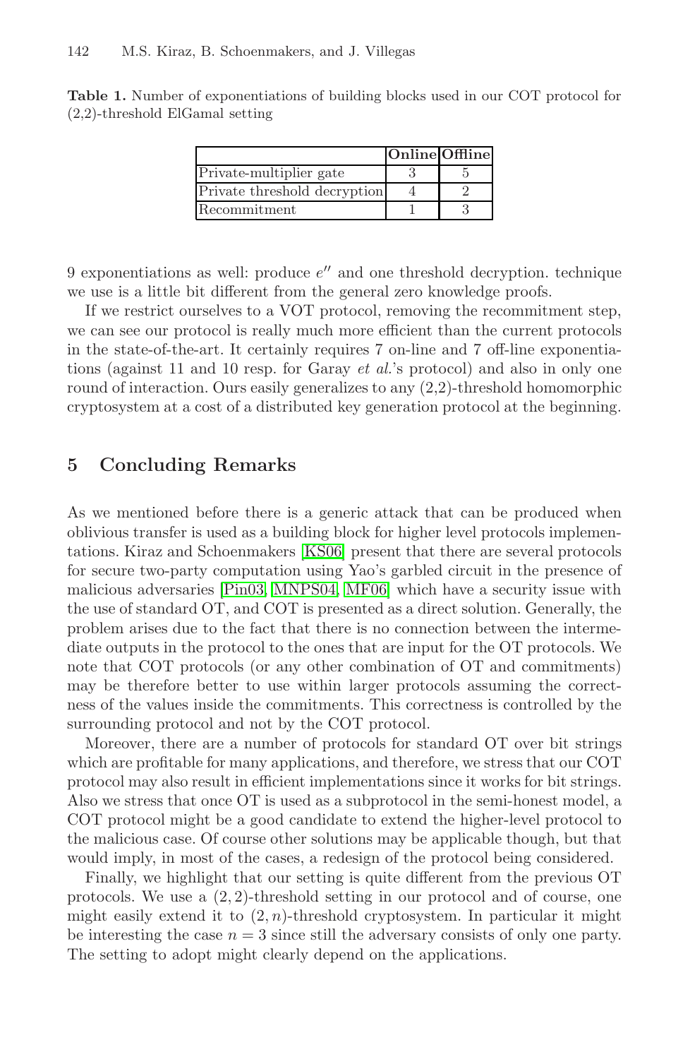<span id="page-13-0"></span>**Table 1.** Number of exponentiations of building blocks used in our COT protocol for (2,2)-threshold ElGamal setting

|                              | Online Offline |  |
|------------------------------|----------------|--|
| Private-multiplier gate      |                |  |
| Private threshold decryption |                |  |
| Recommitment                 |                |  |

9 exponentiations as well: produce  $e''$  and one threshold decryption. technique we use is a little bit different from the general zero knowledge proofs.

If we restrict ourselves to a VOT protocol, removing the recommitment step, we can see our protocol is really much more efficient than the current protocols in the state-of-the-art. It certainly requires 7 on-line and 7 off-line exponentiations (against 11 and 10 resp. for Garay et al.'s protocol) and also in only one round of interaction. Ours easily generalizes to any (2,2)-threshold homomorphic cryptosystem at a cost of a distributed key generation protocol at the beginning.

#### **5 Concluding Remarks**

As we mentioned before there is a generic attack that can be produced when oblivious transfer is used as a building block for higher level protocols implementations. Kiraz and Schoenmakers [\[KS06\]](#page-15-6) present that there are several protocols for secure two-party computation using Yao's garbled circuit in the presence of malicious adversaries [\[Pin03,](#page-15-7) [MNPS04,](#page-15-8) [MF06\]](#page-15-9) which have a security issue with the use of standard OT, and COT is presented as a direct solution. Generally, the problem arises due to the fact that there is no connection between the intermediate outputs in the protocol to the ones that are input for the OT protocols. We note that COT protocols (or any other combination of OT and commitments) may be therefore better to use within larger protocols assuming the correctness of the values inside the commitments. This correctness is controlled by the surrounding protocol and not by the COT protocol.

Moreover, there are a number of protocols for standard OT over bit strings which are profitable for many applications, and therefore, we stress that our COT protocol may also result in efficient implementations since it works for bit strings. Also we stress that once OT is used as a subprotocol in the semi-honest model, a COT protocol might be a good candidate to extend the higher-level protocol to the malicious case. Of course other solutions may be applicable though, but that would imply, in most of the cases, a redesign of the protocol being considered.

Finally, we highlight that our setting is quite different from the previous OT protocols. We use a (2, 2)-threshold setting in our protocol and of course, one might easily extend it to  $(2, n)$ -threshold cryptosystem. In particular it might be interesting the case  $n = 3$  since still the adversary consists of only one party. The setting to adopt might clearly depend on the applications.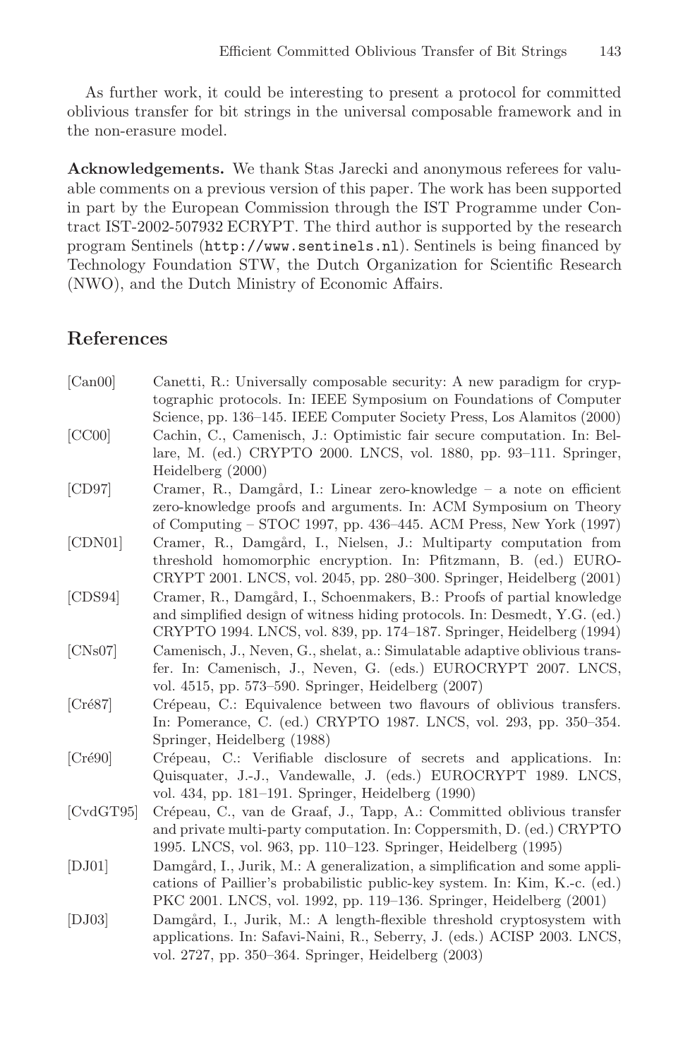As further work, it could be interesting to present a protocol for committed oblivious transfer for bit strings in the universal composable framework and in the non-erasure model.

**Acknowledgements.** We thank Stas Jarecki and anonymous referees for valuable comments on a previous version of this paper. The work has been supported in part by the European Commission through the IST Programme under Contract IST-2002-507932 ECRYPT. The third author is supported by the research program Sentinels (http://www.sentinels.nl). Sentinels is being financed by Technology Foundation STW, the Dutch Organization for Scientific Research (NWO), and the Dutch Ministry of Economic Affairs.

### **References**

<span id="page-14-10"></span><span id="page-14-9"></span><span id="page-14-8"></span><span id="page-14-7"></span><span id="page-14-6"></span><span id="page-14-5"></span><span id="page-14-4"></span><span id="page-14-3"></span><span id="page-14-2"></span><span id="page-14-1"></span><span id="page-14-0"></span>[Can00] Canetti, R.: Universally composable security: A new paradigm for cryptographic protocols. In: IEEE Symposium on Foundations of Computer Science, pp. 136–145. IEEE Computer Society Press, Los Alamitos (2000) [CC00] Cachin, C., Camenisch, J.: Optimistic fair secure computation. In: Bellare, M. (ed.) CRYPTO 2000. LNCS, vol. 1880, pp. 93–111. Springer, Heidelberg (2000) [CD97] Cramer, R., Damgård, I.: Linear zero-knowledge – a note on efficient zero-knowledge proofs and arguments. In: ACM Symposium on Theory of Computing – STOC 1997, pp. 436–445. ACM Press, New York (1997) [CDN01] Cramer, R., Damgård, I., Nielsen, J.: Multiparty computation from threshold homomorphic encryption. In: Pfitzmann, B. (ed.) EURO-CRYPT 2001. LNCS, vol. 2045, pp. 280–300. Springer, Heidelberg (2001) [CDS94] Cramer, R., Damgård, I., Schoenmakers, B.: Proofs of partial knowledge and simplified design of witness hiding protocols. In: Desmedt, Y.G. (ed.) CRYPTO 1994. LNCS, vol. 839, pp. 174–187. Springer, Heidelberg (1994) [CNs07] Camenisch, J., Neven, G., shelat, a.: Simulatable adaptive oblivious transfer. In: Camenisch, J., Neven, G. (eds.) EUROCRYPT 2007. LNCS, vol. 4515, pp. 573–590. Springer, Heidelberg (2007) [Cré87] Crépeau, C.: Equivalence between two flavours of oblivious transfers. In: Pomerance, C. (ed.) CRYPTO 1987. LNCS, vol. 293, pp. 350–354. Springer, Heidelberg (1988) [Cré90] Crépeau, C.: Verifiable disclosure of secrets and applications. In: Quisquater, J.-J., Vandewalle, J. (eds.) EUROCRYPT 1989. LNCS, vol. 434, pp. 181–191. Springer, Heidelberg (1990) [CvdGT95] Crépeau, C., van de Graaf, J., Tapp, A.: Committed oblivious transfer and private multi-party computation. In: Coppersmith, D. (ed.) CRYPTO 1995. LNCS, vol. 963, pp. 110–123. Springer, Heidelberg (1995) [DJ01] Damgård, I., Jurik, M.: A generalization, a simplification and some applications of Paillier's probabilistic public-key system. In: Kim, K.-c. (ed.) PKC 2001. LNCS, vol. 1992, pp. 119–136. Springer, Heidelberg (2001) [DJ03] Damgård, I., Jurik, M.: A length-flexible threshold cryptosystem with applications. In: Safavi-Naini, R., Seberry, J. (eds.) ACISP 2003. LNCS, vol. 2727, pp. 350–364. Springer, Heidelberg (2003)